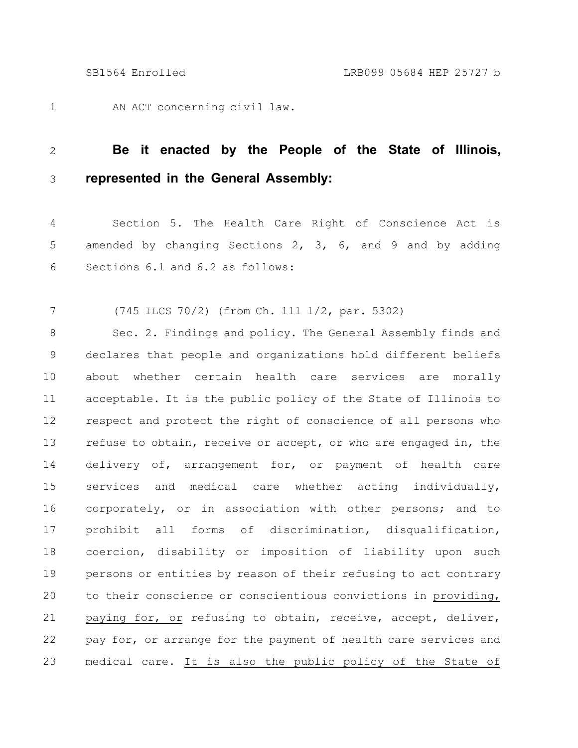AN ACT concerning civil law. 1

## **Be it enacted by the People of the State of Illinois, represented in the General Assembly:** 2 3

Section 5. The Health Care Right of Conscience Act is amended by changing Sections 2, 3, 6, and 9 and by adding Sections 6.1 and 6.2 as follows: 4 5 6

(745 ILCS 70/2) (from Ch. 111 1/2, par. 5302) 7

Sec. 2. Findings and policy. The General Assembly finds and declares that people and organizations hold different beliefs about whether certain health care services are morally acceptable. It is the public policy of the State of Illinois to respect and protect the right of conscience of all persons who refuse to obtain, receive or accept, or who are engaged in, the delivery of, arrangement for, or payment of health care services and medical care whether acting individually, corporately, or in association with other persons; and to prohibit all forms of discrimination, disqualification, coercion, disability or imposition of liability upon such persons or entities by reason of their refusing to act contrary to their conscience or conscientious convictions in providing, paying for, or refusing to obtain, receive, accept, deliver, pay for, or arrange for the payment of health care services and medical care. It is also the public policy of the State of 8 9 10 11 12 13 14 15 16 17 18 19 20 21 22 23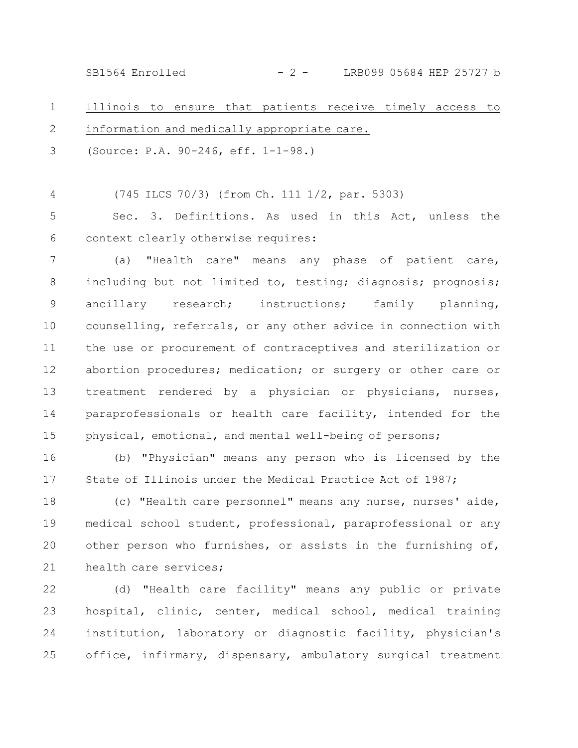SB1564 Enrolled - 2 - LRB099 05684 HEP 25727 b

Illinois to ensure that patients receive timely access to information and medically appropriate care. 1 2

(Source: P.A. 90-246, eff. 1-1-98.) 3

(745 ILCS 70/3) (from Ch. 111 1/2, par. 5303) 4

Sec. 3. Definitions. As used in this Act, unless the context clearly otherwise requires: 5 6

(a) "Health care" means any phase of patient care, including but not limited to, testing; diagnosis; prognosis; ancillary research; instructions; family planning, counselling, referrals, or any other advice in connection with the use or procurement of contraceptives and sterilization or abortion procedures; medication; or surgery or other care or treatment rendered by a physician or physicians, nurses, paraprofessionals or health care facility, intended for the physical, emotional, and mental well-being of persons; 7 8 9 10 11 12 13 14 15

(b) "Physician" means any person who is licensed by the State of Illinois under the Medical Practice Act of 1987; 16 17

(c) "Health care personnel" means any nurse, nurses' aide, medical school student, professional, paraprofessional or any other person who furnishes, or assists in the furnishing of, health care services; 18 19 20 21

(d) "Health care facility" means any public or private hospital, clinic, center, medical school, medical training institution, laboratory or diagnostic facility, physician's office, infirmary, dispensary, ambulatory surgical treatment 22 23 24 25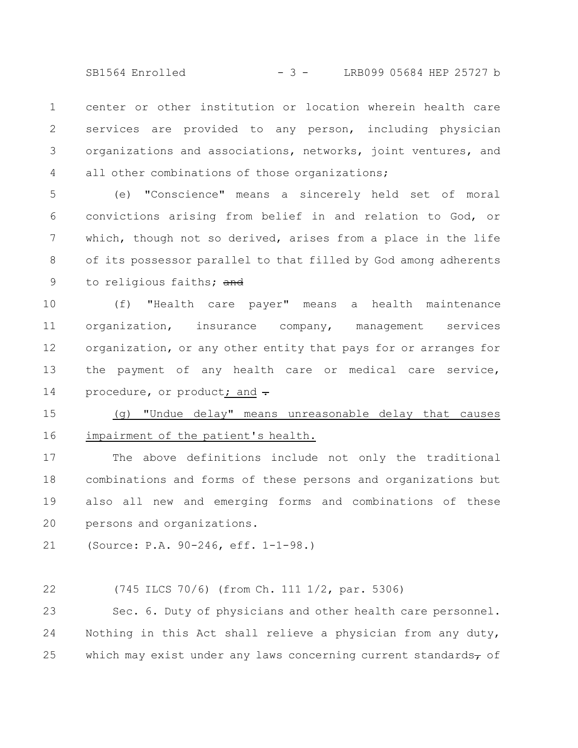SB1564 Enrolled - 3 - LRB099 05684 HEP 25727 b

center or other institution or location wherein health care services are provided to any person, including physician organizations and associations, networks, joint ventures, and all other combinations of those organizations; 1 2 3 4

(e) "Conscience" means a sincerely held set of moral convictions arising from belief in and relation to God, or which, though not so derived, arises from a place in the life of its possessor parallel to that filled by God among adherents to religious faiths; and 5 6 7 8 9

(f) "Health care payer" means a health maintenance organization, insurance company, management services organization, or any other entity that pays for or arranges for the payment of any health care or medical care service, procedure, or product; and -10 11 12 13 14

(g) "Undue delay" means unreasonable delay that causes impairment of the patient's health. 15 16

The above definitions include not only the traditional combinations and forms of these persons and organizations but also all new and emerging forms and combinations of these persons and organizations. 17 18 19 20

(Source: P.A. 90-246, eff. 1-1-98.) 21

(745 ILCS 70/6) (from Ch. 111 1/2, par. 5306) 22

Sec. 6. Duty of physicians and other health care personnel. Nothing in this Act shall relieve a physician from any duty, which may exist under any laws concerning current standards $\tau$  of 23 24 25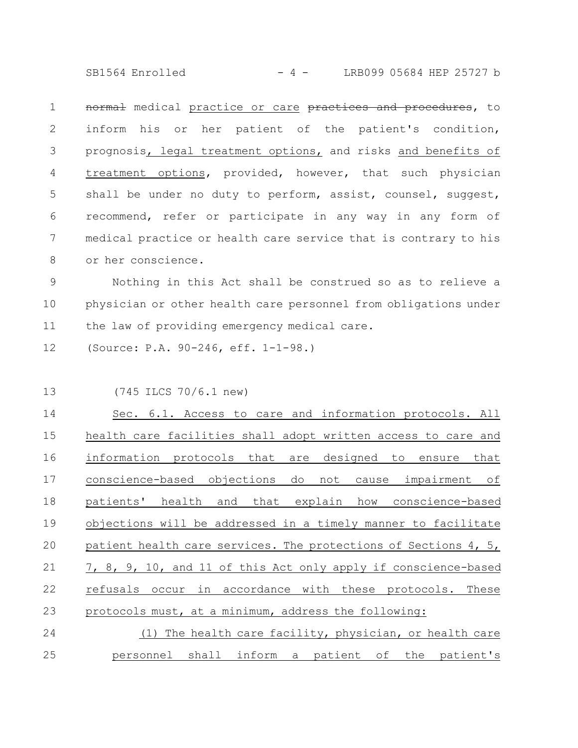SB1564 Enrolled - 4 - LRB099 05684 HEP 25727 b

normal medical practice or care practices and procedures, to inform his or her patient of the patient's condition, prognosis, legal treatment options, and risks and benefits of treatment options, provided, however, that such physician shall be under no duty to perform, assist, counsel, suggest, recommend, refer or participate in any way in any form of medical practice or health care service that is contrary to his or her conscience. 1 2 3 4 5 6 7 8

Nothing in this Act shall be construed so as to relieve a physician or other health care personnel from obligations under the law of providing emergency medical care. 9 10 11

(Source: P.A. 90-246, eff. 1-1-98.) 12

13

(745 ILCS 70/6.1 new)

Sec. 6.1. Access to care and information protocols. All health care facilities shall adopt written access to care and information protocols that are designed to ensure that conscience-based objections do not cause impairment of patients' health and that explain how conscience-based objections will be addressed in a timely manner to facilitate patient health care services. The protections of Sections 4, 5, 7, 8, 9, 10, and 11 of this Act only apply if conscience-based refusals occur in accordance with these protocols. These protocols must, at a minimum, address the following: (1) The health care facility, physician, or health care 14 15 16 17 18 19 20 21 22 23 24

personnel shall inform a patient of the patient's 25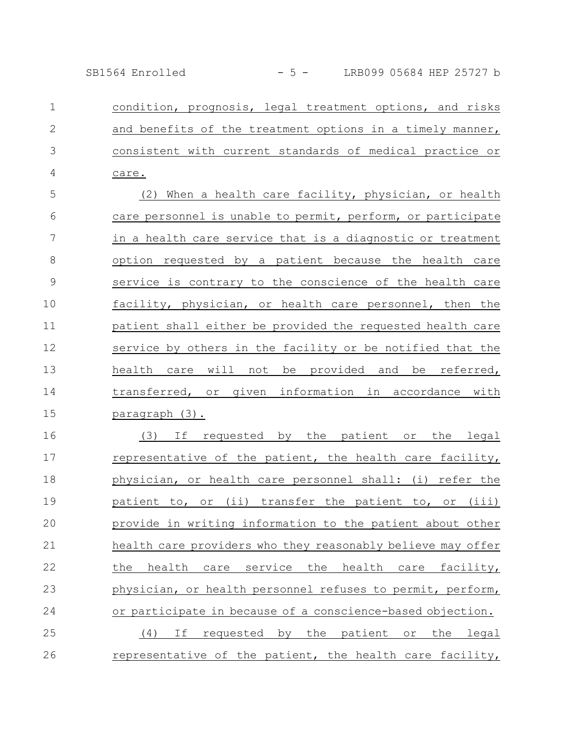SB1564 Enrolled - 5 - LRB099 05684 HEP 25727 b

condition, prognosis, legal treatment options, and risks and benefits of the treatment options in a timely manner, consistent with current standards of medical practice or care. 1 2 3 4

(2) When a health care facility, physician, or health care personnel is unable to permit, perform, or participate in a health care service that is a diagnostic or treatment option requested by a patient because the health care service is contrary to the conscience of the health care facility, physician, or health care personnel, then the patient shall either be provided the requested health care service by others in the facility or be notified that the health care will not be provided and be referred, transferred, or given information in accordance with paragraph (3). 5 6 7 8 9 10 11 12 13 14 15

(3) If requested by the patient or the legal representative of the patient, the health care facility, physician, or health care personnel shall: (i) refer the patient to, or (ii) transfer the patient to, or (iii) provide in writing information to the patient about other health care providers who they reasonably believe may offer the health care service the health care facility, physician, or health personnel refuses to permit, perform, or participate in because of a conscience-based objection. (4) If requested by the patient or the legal representative of the patient, the health care facility, 16 17 18 19 20 21 22 23 24 25 26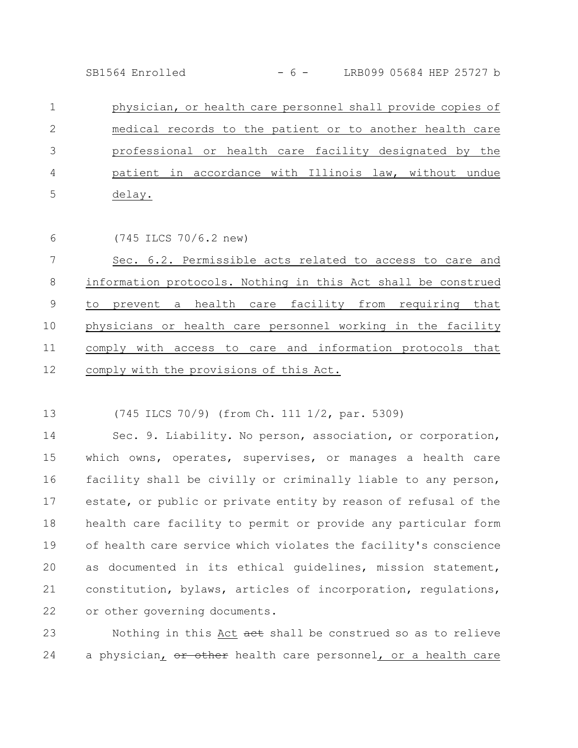SB1564 Enrolled - 6 - LRB099 05684 HEP 25727 b

physician, or health care personnel shall provide copies of medical records to the patient or to another health care professional or health care facility designated by the patient in accordance with Illinois law, without undue delay. 1 2 3 4 5

(745 ILCS 70/6.2 new) 6

Sec. 6.2. Permissible acts related to access to care and information protocols. Nothing in this Act shall be construed to prevent a health care facility from requiring that physicians or health care personnel working in the facility comply with access to care and information protocols that comply with the provisions of this Act. 7 8 9 10 11 12

(745 ILCS 70/9) (from Ch. 111 1/2, par. 5309) 13

Sec. 9. Liability. No person, association, or corporation, which owns, operates, supervises, or manages a health care facility shall be civilly or criminally liable to any person, estate, or public or private entity by reason of refusal of the health care facility to permit or provide any particular form of health care service which violates the facility's conscience as documented in its ethical guidelines, mission statement, constitution, bylaws, articles of incorporation, regulations, or other governing documents. 14 15 16 17 18 19 20 21 22

Nothing in this Act aet shall be construed so as to relieve a physician, or other health care personnel, or a health care 23 24